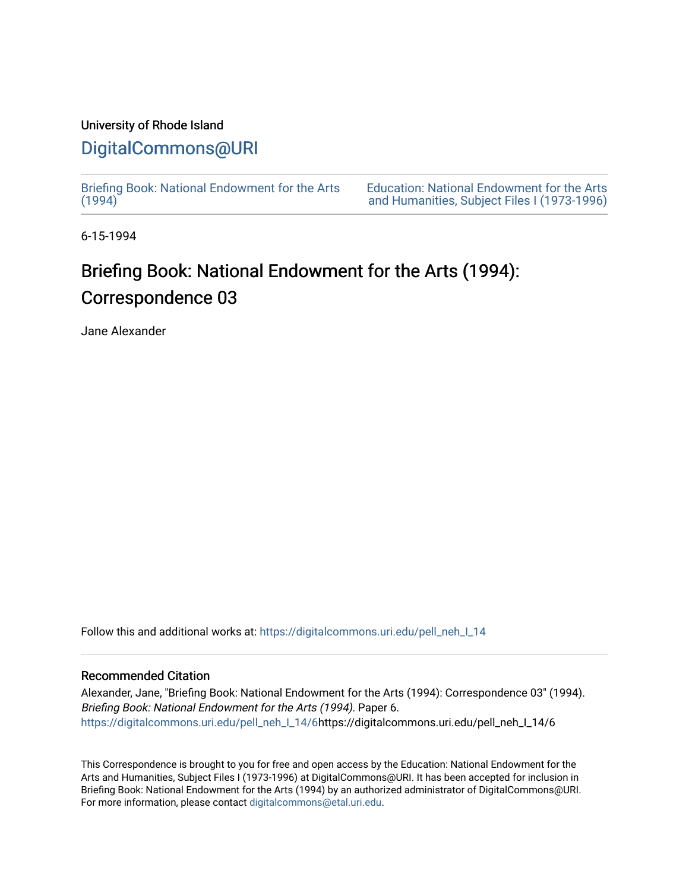#### University of Rhode Island

### [DigitalCommons@URI](https://digitalcommons.uri.edu/)

[Briefing Book: National Endowment for the Arts](https://digitalcommons.uri.edu/pell_neh_I_14)  $(1994)$ 

[Education: National Endowment for the Arts](https://digitalcommons.uri.edu/pell_neh_I)  [and Humanities, Subject Files I \(1973-1996\)](https://digitalcommons.uri.edu/pell_neh_I) 

6-15-1994

## Briefing Book: National Endowment for the Arts (1994): Correspondence 03

Jane Alexander

Follow this and additional works at: [https://digitalcommons.uri.edu/pell\\_neh\\_I\\_14](https://digitalcommons.uri.edu/pell_neh_I_14?utm_source=digitalcommons.uri.edu%2Fpell_neh_I_14%2F6&utm_medium=PDF&utm_campaign=PDFCoverPages) 

#### Recommended Citation

Alexander, Jane, "Briefing Book: National Endowment for the Arts (1994): Correspondence 03" (1994). Briefing Book: National Endowment for the Arts (1994). Paper 6. [https://digitalcommons.uri.edu/pell\\_neh\\_I\\_14/6h](https://digitalcommons.uri.edu/pell_neh_I_14/6?utm_source=digitalcommons.uri.edu%2Fpell_neh_I_14%2F6&utm_medium=PDF&utm_campaign=PDFCoverPages)ttps://digitalcommons.uri.edu/pell\_neh\_I\_14/6

This Correspondence is brought to you for free and open access by the Education: National Endowment for the Arts and Humanities, Subject Files I (1973-1996) at DigitalCommons@URI. It has been accepted for inclusion in Briefing Book: National Endowment for the Arts (1994) by an authorized administrator of DigitalCommons@URI. For more information, please contact [digitalcommons@etal.uri.edu](mailto:digitalcommons@etal.uri.edu).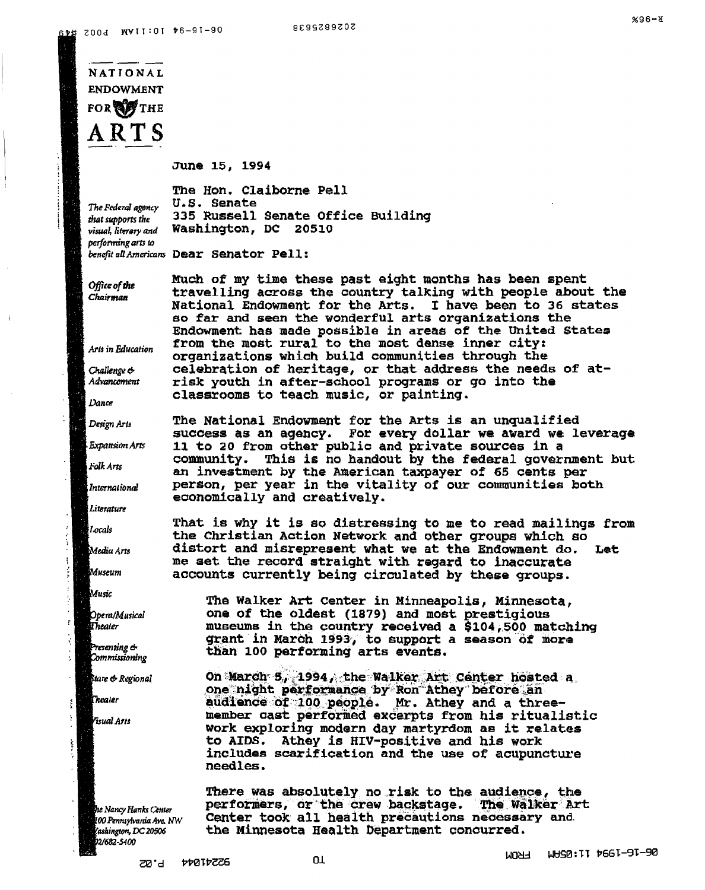# **NATIONAL ENDOWMENT** FOR OF THE ARTS

June 15, 1994

**U.S. Senate** 

The Hon. Claiborne Pell

Washington, DC 20510

335 Russell Senate Office Building

The Federal agency that supports the visual, literary and performing arts to benefit all Americans Dear Senator Pell:

Office of the Chairman

Arts in Education

Challenge & Advancement

Dance

Design Arts

Expansion Arts

Folk Arts

: International

Literature

Locals

.<br>Media Arts

Museum

Music

ĵ.

 $\overline{\mathrm{r}}$ 

Ŕ

 $\ddot{\nu}$ 

 $\frac{3}{2}$ 

 $\ddot{\phantom{a}}$ 

 $\frac{1}{2}$ 

 $\alpha$ 

Opera/Musical Theater

Presenting & Commissioning

State & Regional

Theater

.<br>Visual Arts

he Nancy Hanks Center 100 Pennsylvania Ave. NW ashington, DC 20506 2/682-5400

Much of my time these past eight months has been spent travelling across the country talking with people about the National Endowment for the Arts. I have been to 36 states so far and seen the wonderful arts organizations the Endowment has made possible in areas of the United States from the most rural to the most dense inner city: organizations which build communities through the celebration of heritage, or that address the needs of atrisk youth in after-school programs or go into the classrooms to teach music, or painting.

The National Endowment for the Arts is an unqualified success as an agency. For every dollar we award we leverage 11 to 20 from other public and private sources in a This is no handout by the federal government but community. an investment by the American taxpayer of 65 cents per person, per year in the vitality of our communities both economically and creatively.

That is why it is so distressing to me to read mailings from the Christian Action Network and other groups which so distort and misrepresent what we at the Endowment do. Let me set the record straight with regard to inaccurate accounts currently being circulated by these groups.

The Walker Art Center in Minneapolis, Minnesota, one of the oldest (1879) and most prestigious museums in the country received a \$104,500 matching grant in March 1993, to support a season of more than 100 performing arts events.

On March 5, 1994, the Walker Art Center hosted a one night performance by Ron Athey before an audience of 100 people. Mr. Athey and a threemember cast performed excerpts from his ritualistic work exploring modern day martyrdom as it relates to AIDS. Athey is HIV-positive and his work includes scarification and the use of acupuncture needles.

There was absolutely no risk to the audience, the performers, or the crew backstage. The walker art Center took all health precautions necessary and the Minnesota Health Department concurred.